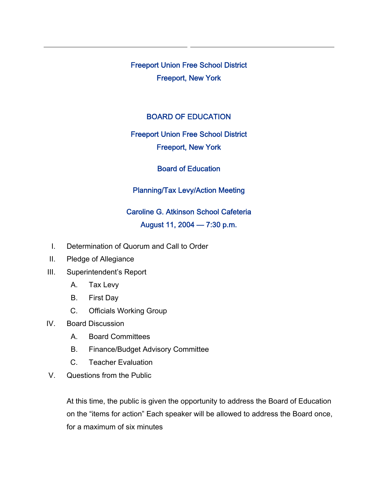Freeport Union Free School District Freeport, New York

#### BOARD OF EDUCATION

## Freeport Union Free School District

#### Freeport, New York

#### Board of Education

## Planning/Tax Levy/Action Meeting

# Caroline G. Atkinson School Cafeteria August 11, 2004 — 7:30 p.m.

- I. Determination of Quorum and Call to Order
- II. Pledge of Allegiance
- III. Superintendent's Report
	- A. Tax Levy
	- B. First Day
	- C. Officials Working Group
- IV. Board Discussion
	- A. Board Committees
	- B. Finance/Budget Advisory Committee
	- C. Teacher Evaluation
- V. Questions from the Public

At this time, the public is given the opportunity to address the Board of Education on the "items for action" Each speaker will be allowed to address the Board once, for a maximum of six minutes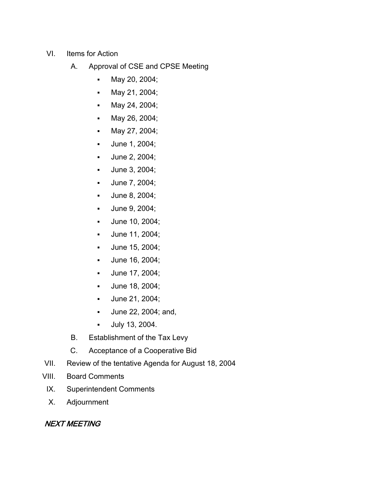- VI. Items for Action
	- A. Approval of CSE and CPSE Meeting
		- May 20, 2004;
		- **May 21, 2004;**
		- **May 24, 2004;**
		- **May 26, 2004;**
		- May 27, 2004;
		- **June 1, 2004;**
		- **June 2, 2004;**
		- **June 3, 2004;**
		- **June 7, 2004;**
		- **June 8, 2004;**
		- **June 9, 2004;**
		- **June 10, 2004;**
		- June 11, 2004;
		- June 15, 2004;
		- **June 16, 2004;**
		- **June 17, 2004;**
		- **June 18, 2004;**
		- **June 21, 2004;**
		- June 22, 2004; and,
		- July 13, 2004.
	- B. Establishment of the Tax Levy
	- C. Acceptance of a Cooperative Bid
- VII. Review of the tentative Agenda for August 18, 2004
- VIII. Board Comments
- IX. Superintendent Comments
- X. Adjournment

## NEXT MEETING